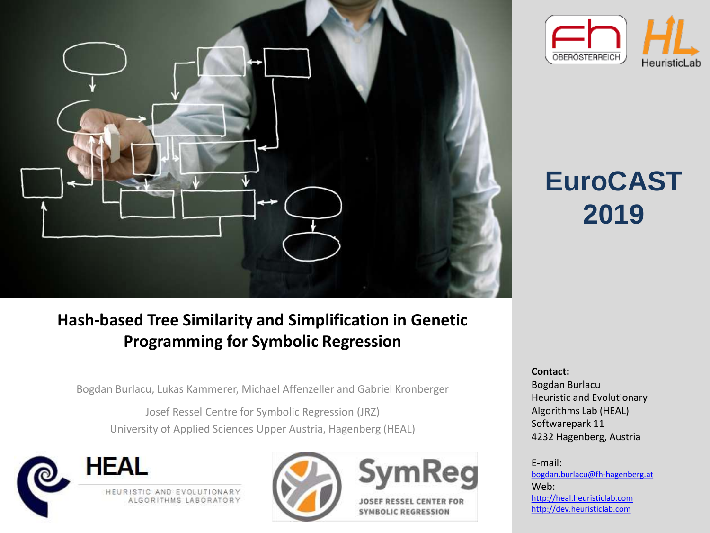

# OBERÖSTERREICH HeuristicLab

# **EuroCAST 2019**

## **Hash-based Tree Similarity and Simplification in Genetic Programming for Symbolic Regression**

Bogdan Burlacu, Lukas Kammerer, Michael Affenzeller and Gabriel Kronberger

Josef Ressel Centre for Symbolic Regression (JRZ) University of Applied Sciences Upper Austria, Hagenberg (HEAL)





**Contact:** 

Bogdan Burlacu Heuristic and Evolutionary Algorithms Lab (HEAL) Softwarepark 11 4232 Hagenberg, Austria

E-mail: [bogdan.burlacu@fh-hagenberg.at](mailto:bogdan.burlacu@fh-hagenberg.at) Web: [http://heal.heuristiclab.com](http://heal.heuristiclab.com/) [http://dev.heuristiclab.com](http://dev.heuristiclab.com/)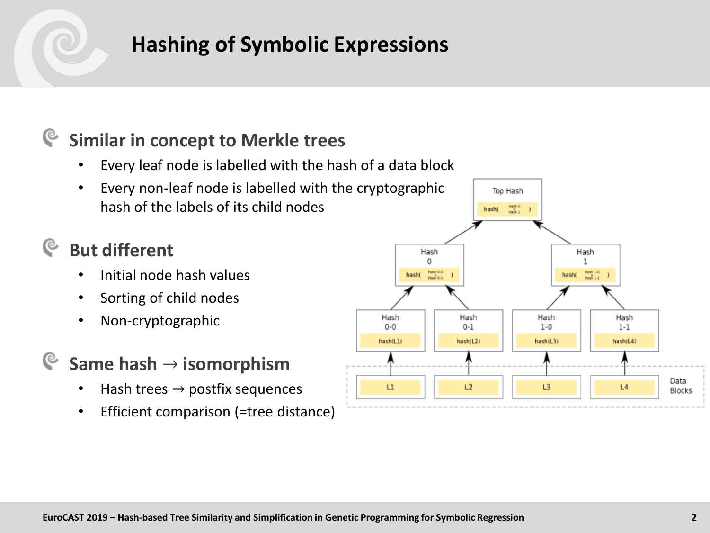## **Hashing of Symbolic Expressions**

#### **Similar in concept to Merkle trees** G

- Every leaf node is labelled with the hash of a data block
- Every non-leaf node is labelled with the cryptographic hash of the labels of its child nodes

## **But different**

- Initial node hash values
- Sorting of child nodes
- Non-cryptographic
- **Same hash** → **isomorphism**
	- Hash trees  $\rightarrow$  postfix sequences
	- Efficient comparison (=tree distance)

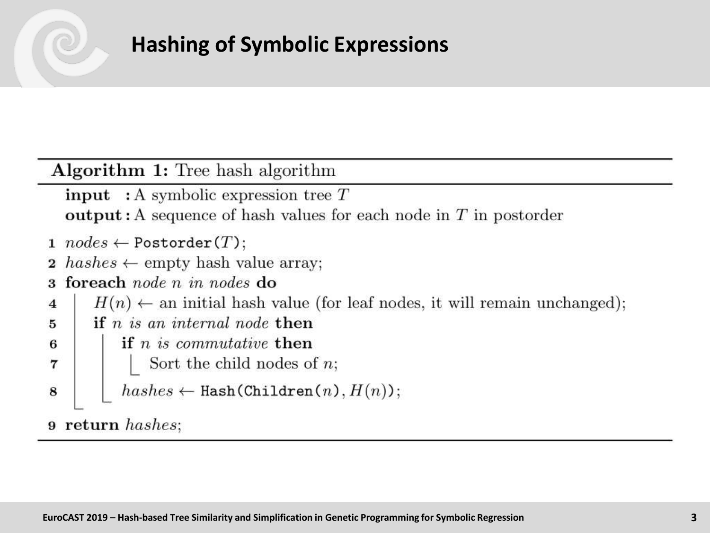## Algorithm 1: Tree hash algorithm

- **input** : A symbolic expression tree  $T$ **output:** A sequence of hash values for each node in  $T$  in postorder
- 1  $nodes \leftarrow Postorder(T);$
- $hashes \leftarrow \text{empty hash value array};$
- foreach node  $n$  in nodes do 3
- $H(n) \leftarrow$  an initial hash value (for leaf nodes, it will remain unchanged); 4
- if  $n$  is an internal node then 5
- if  $n$  is commutative then 6
	- Sort the child nodes of  $n$ ;
- $hashes \leftarrow Hash(Children(n), H(n));$ 8

9 return hashes;

 $\overline{7}$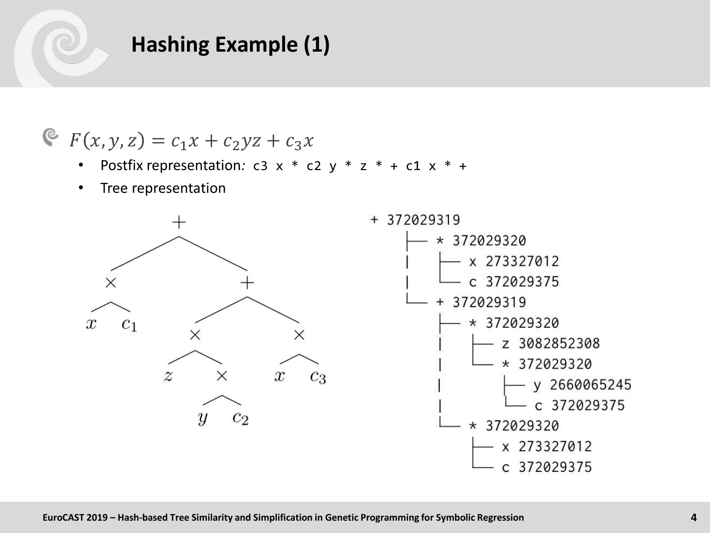## **Hashing Example (1)**

$$
F(x, y, z) = c_1 x + c_2 yz + c_3 x
$$

- Postfix representation:  $c3 \times * c2 \times * z * + c1 \times * +$
- Tree representation

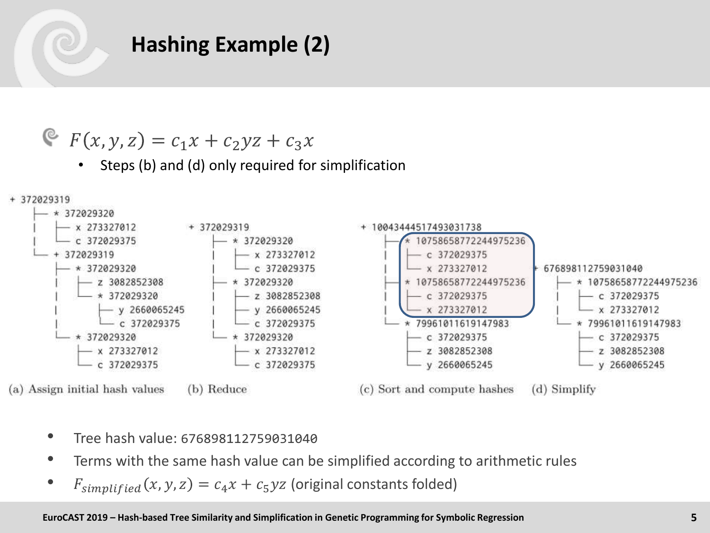## **Hashing Example (2)**

$$
F(x, y, z) = c_1 x + c_2 yz + c_3 x
$$

• Steps (b) and (d) only required for simplification



- Tree hash value: <sup>676898112759031040</sup>
- Terms with the same hash value can be simplified according to arithmetic rules
- $F_{simplified}(x, y, z) = c_4 x + c_5 yz$  (original constants folded)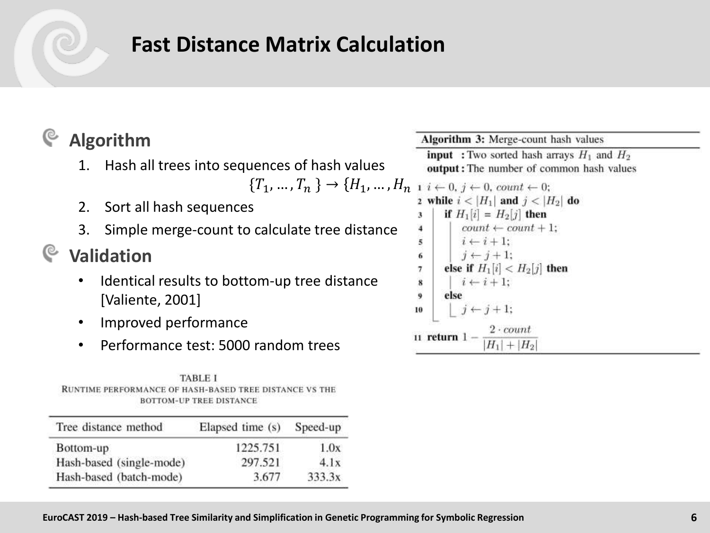## **Fast Distance Matrix Calculation**

#### ্ত **Algorithm**

1. Hash all trees into sequences of hash values

$$
\{T_1, ..., T_n\} \to \{H_1, ..., H_{n-1}\}
$$

- 2. Sort all hash sequences
- 3. Simple merge-count to calculate tree distance

## **Validation**

- Identical results to bottom-up tree distance [Valiente, 2001]
- Improved performance
- Performance test: 5000 random trees

**TABLE I** RUNTIME PERFORMANCE OF HASH-BASED TREE DISTANCE VS THE **BOTTOM-UP TREE DISTANCE** 

| Tree distance method     | Elapsed time (s) | Speed-up |
|--------------------------|------------------|----------|
| Bottom-up                | 1225.751         | 1.0x     |
| Hash-based (single-mode) | 297.521          | 4.1x     |
| Hash-based (batch-mode)  | 3.677            | 333.3x   |

Algorithm 3: Merge-count hash values **input**: Two sorted hash arrays  $H_1$  and  $H_2$ output: The number of common hash values  $0, i \leftarrow 0$ , count  $\leftarrow 0$ : 2 while  $i < |H_1|$  and  $j < |H_2|$  do if  $H_1[i] = H_2[j]$  then 3  $count \leftarrow count + 1;$  $\overline{4}$  $i \leftarrow i + 1$ : 5  $j \leftarrow j+1$ ; 6 else if  $H_1[i] < H_2[j]$  then  $\overline{7}$  $i \leftarrow i+1$ :  $\overline{\mathbf{x}}$  $\ddot{9}$ else  $j \leftarrow j+1;$ 10  $2 \cdot count$ 11 return 1 - $H_1| + |H_2|$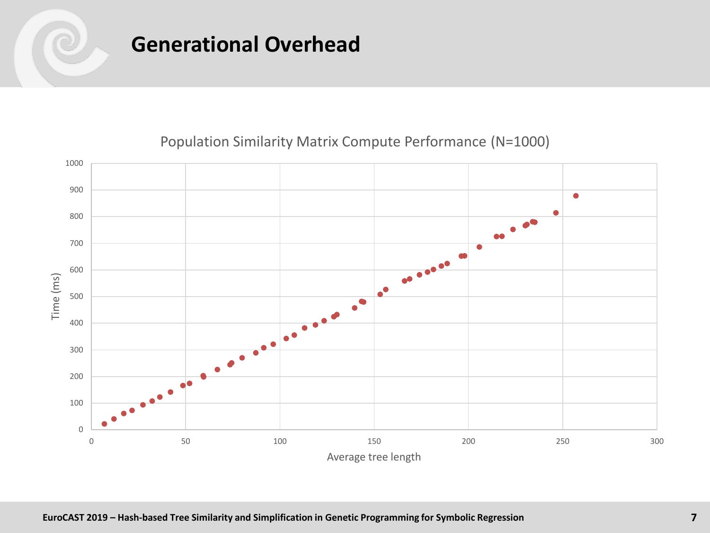



### Population Similarity Matrix Compute Performance (N=1000)

Average tree length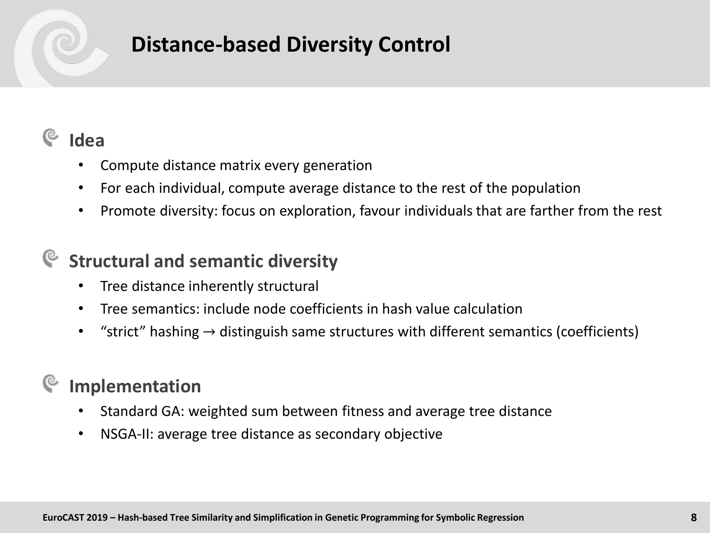## **Distance-based Diversity Control**

## **Idea**

- Compute distance matrix every generation
- For each individual, compute average distance to the rest of the population
- Promote diversity: focus on exploration, favour individuals that are farther from the rest

## **Structural and semantic diversity**

- Tree distance inherently structural
- Tree semantics: include node coefficients in hash value calculation
- "strict" hashing  $\rightarrow$  distinguish same structures with different semantics (coefficients)

## **Implementation**

- Standard GA: weighted sum between fitness and average tree distance
- NSGA-II: average tree distance as secondary objective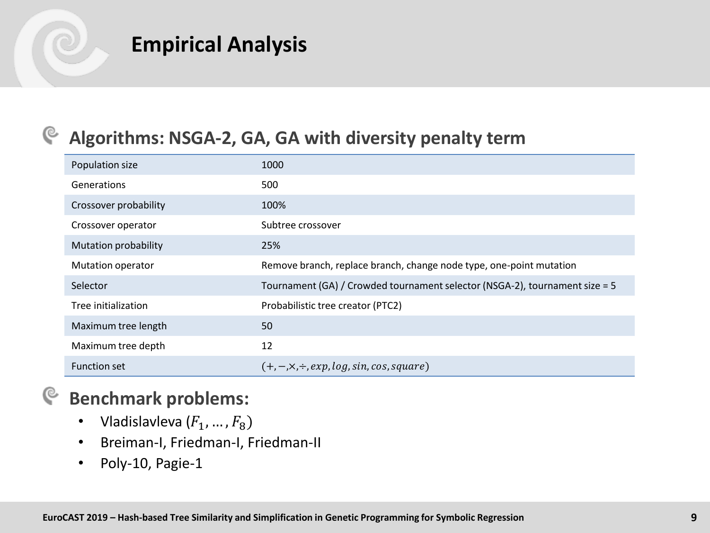## **Empirical Analysis**

#### **Algorithms: NSGA-2, GA, GA with diversity penalty term** G

| Population size       | 1000                                                                        |
|-----------------------|-----------------------------------------------------------------------------|
| Generations           | 500                                                                         |
| Crossover probability | 100%                                                                        |
| Crossover operator    | Subtree crossover                                                           |
| Mutation probability  | 25%                                                                         |
| Mutation operator     | Remove branch, replace branch, change node type, one-point mutation         |
| Selector              | Tournament (GA) / Crowded tournament selector (NSGA-2), tournament size = 5 |
| Tree initialization   | Probabilistic tree creator (PTC2)                                           |
| Maximum tree length   | 50                                                                          |
| Maximum tree depth    | 12                                                                          |
| <b>Function set</b>   | $(+,-, \times, \div, exp, log, sin, cos, square)$                           |

#### **Benchmark problems:** G

- Vladislavleva  $(F_1, ..., F_8)$
- Breiman-I, Friedman-I, Friedman-II
- Poly-10, Pagie-1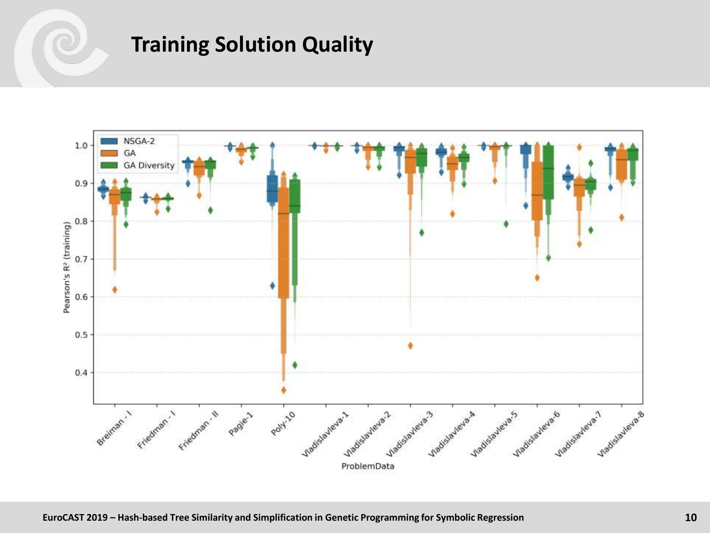## **Training Solution Quality**

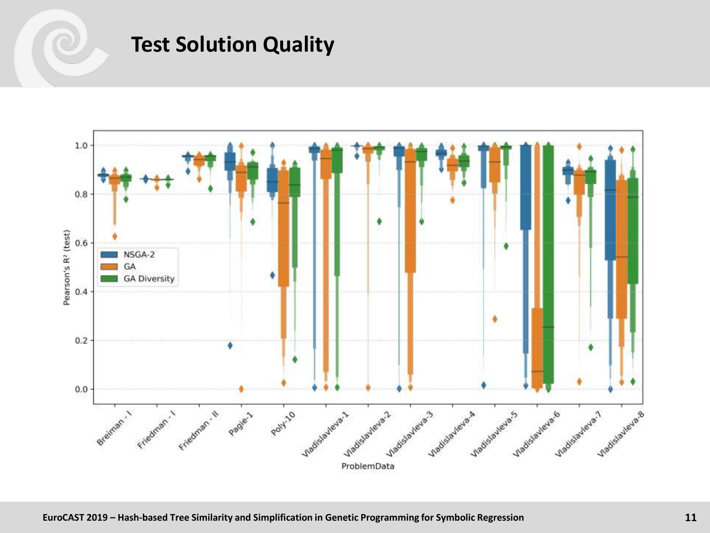## **Test Solution Quality**

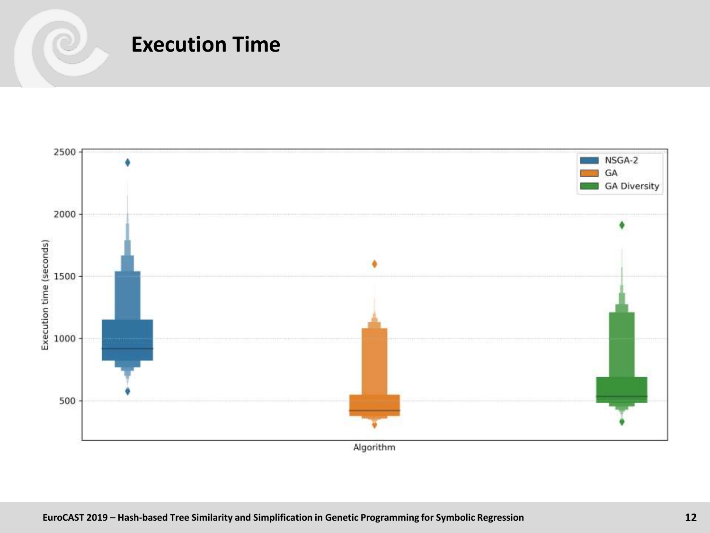



Algorithm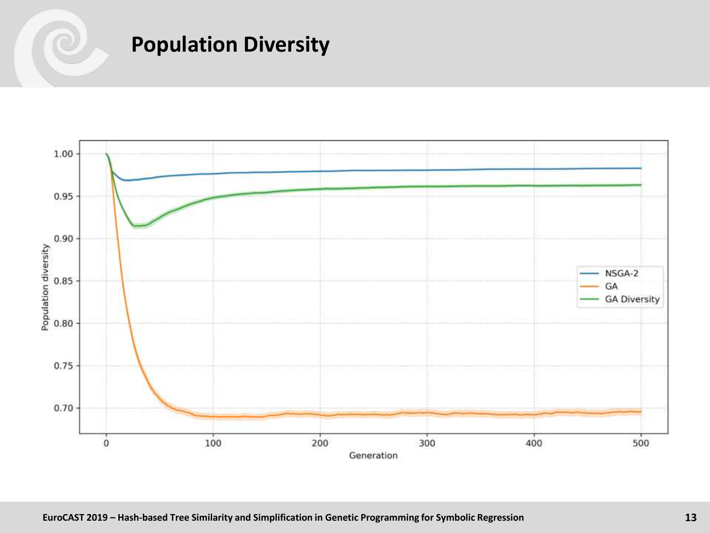## **Population Diversity**

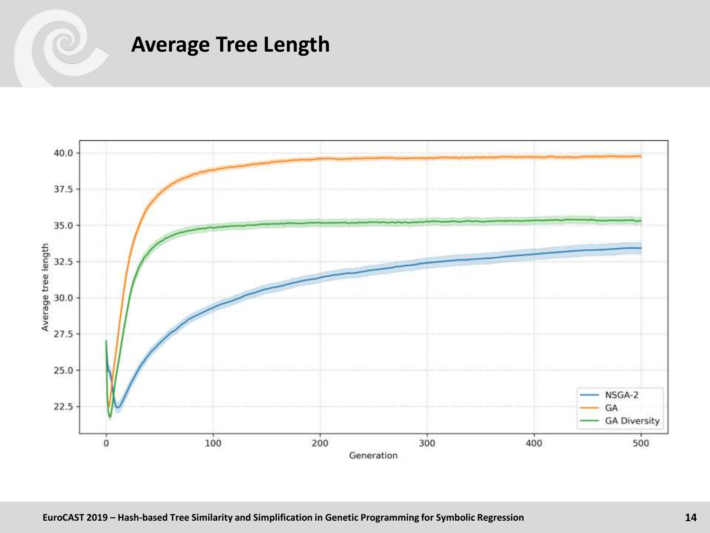## **Average Tree Length**

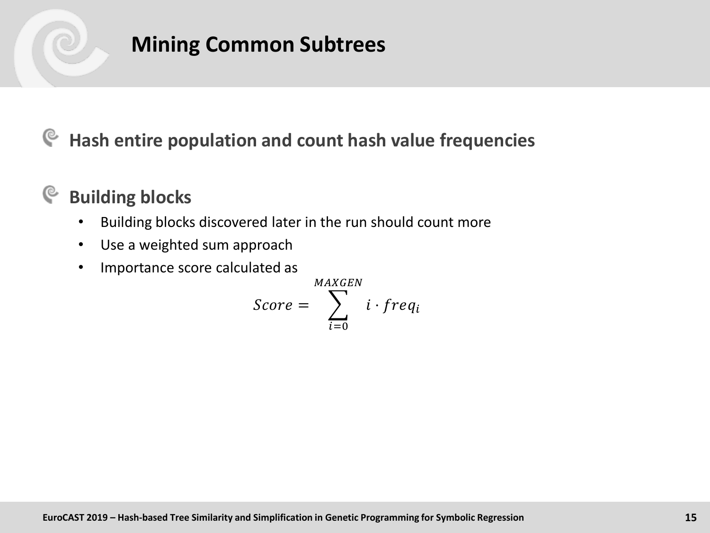## **Mining Common Subtrees**

## **Hash entire population and count hash value frequencies**

#### **Building blocks** G

- Building blocks discovered later in the run should count more
- Use a weighted sum approach
- Importance score calculated as

$$
Score = \sum_{i=0}^{MAXGEN} i \cdot freq_i
$$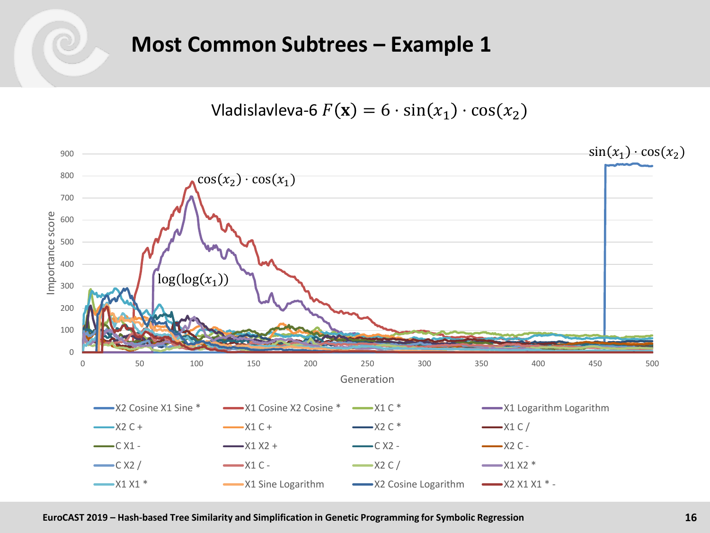## **Most Common Subtrees - Example 1**

Vladislavleva-6  $F(\mathbf{x}) = 6 \cdot \sin(x_1) \cdot \cos(x_2)$ 

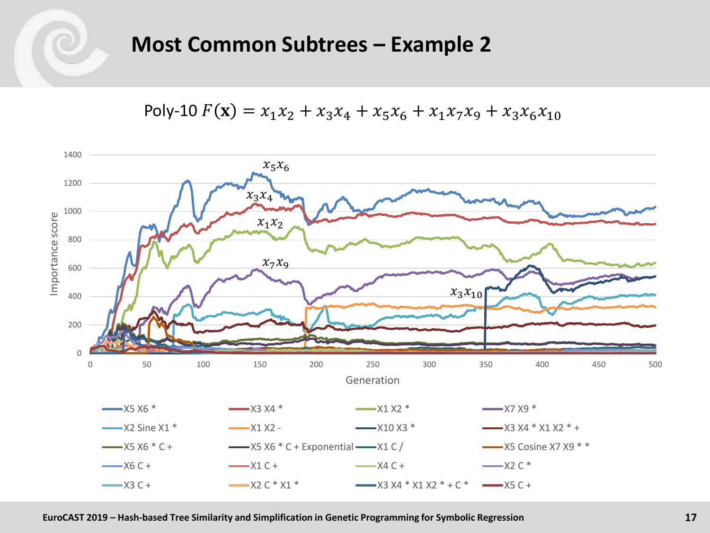

## **Most Common Subtrees - Example 2**

Poly-10  $F(\mathbf{x}) = x_1 x_2 + x_3 x_4 + x_5 x_6 + x_1 x_7 x_9 + x_3 x_6 x_{10}$ 

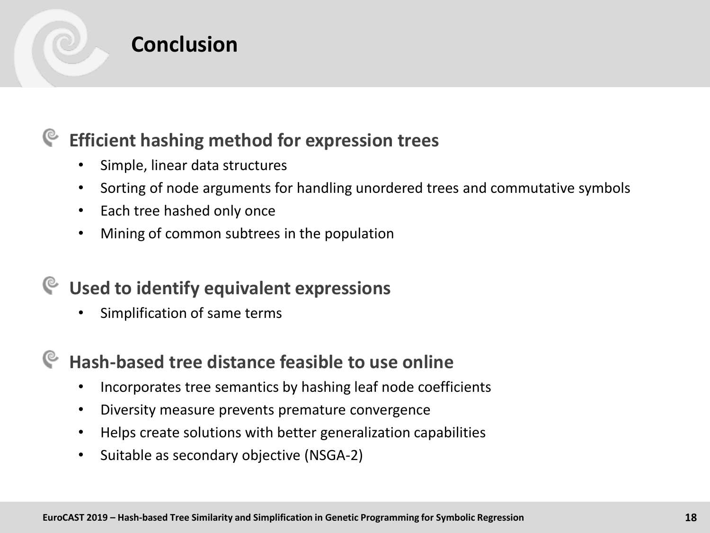

## **Conclusion**

#### **Efficient hashing method for expression trees** ্ত

- Simple, linear data structures
- Sorting of node arguments for handling unordered trees and commutative symbols
- Each tree hashed only once
- Mining of common subtrees in the population

## **Used to identify equivalent expressions**

Simplification of same terms

## **Hash-based tree distance feasible to use online**

- Incorporates tree semantics by hashing leaf node coefficients
- Diversity measure prevents premature convergence
- Helps create solutions with better generalization capabilities
- Suitable as secondary objective (NSGA-2)